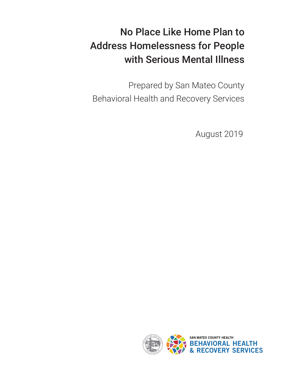# No Place Like Home Plan to Address Homelessness for People with Serious Mental Illness

Prepared by San Mateo County Behavioral Health and Recovery Services

August 2019

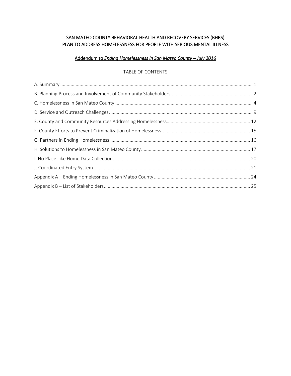# SAN MATEO COUNTY BEHAVIORAL HEALTH AND RECOVERY SERVICES (BHRS) PLAN TO ADDRESS HOMELESSNESS FOR PEOPLE WITH SERIOUS MENTAL ILLNESS

## Addendum to *Ending Homelessness in San Mateo County – July 2016*

#### TABLE OF CONTENTS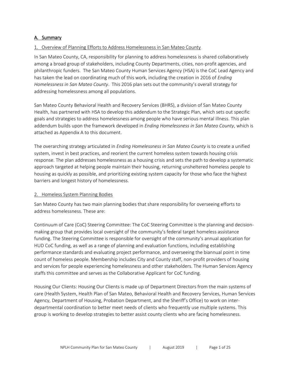## <span id="page-2-0"></span>A. Summary

#### 1. Overview of Planning Efforts to Address Homelessness in San Mateo County

In San Mateo County, CA, responsibility for planning to address homelessness is shared collaboratively among a broad group of stakeholders, including County Departments, cities, non-profit agencies, and philanthropic funders. The San Mateo County Human Services Agency (HSA) is the CoC Lead Agency and has taken the lead on coordinating much of this work, including the creation in 2016 of *Ending Homelessness in San Mateo County*. This 2016 plan sets out the community's overall strategy for addressing homelessness among all populations.

San Mateo County Behavioral Health and Recovery Services (BHRS), a division of San Mateo County Health, has partnered with HSA to develop this addendum to the Strategic Plan, which sets out specific goals and strategies to address homelessness among people who have serious mental illness. This plan addendum builds upon the framework developed in *Ending Homelessness in San Mateo County*, which is attached as Appendix A to this document.

The overarching strategy articulated in *Ending Homelessness in San Mateo County* is to create a unified system, invest in best practices, and reorient the current homeless system towards housing crisis response. The plan addresses homelessness as a housing crisis and sets the path to develop a systematic approach targeted at helping people maintain their housing, returning unsheltered homeless people to housing as quickly as possible, and prioritizing existing system capacity for those who face the highest barriers and longest history of homelessness.

#### 2. Homeless System Planning Bodies

San Mateo County has two main planning bodies that share responsibility for overseeing efforts to address homelessness. These are:

Continuum of Care (CoC) Steering Committee: The CoC Steering Committee is the planning and decisionmaking group that provides local oversight of the community's federal target homeless assistance funding. The Steering Committee is responsible for oversight of the community's annual application for HUD CoC funding, as well as a range of planning and evaluation functions, including establishing performance standards and evaluating project performance, and overseeing the biannual point in time count of homeless people. Membership includes City and County staff, non-profit providers of housing and services for people experiencing homelessness and other stakeholders. The Human Services Agency staffs this committee and serves as the Collaborative Applicant for CoC funding.

Housing Our Clients: Housing Our Clients is made up of Department Directors from the main systems of care (Health System, Health Plan of San Mateo, Behavioral Health and Recovery Services, Human Services Agency, Department of Housing, Probation Department, and the Sheriff's Office) to work on interdepartmental coordination to better meet needs of clients who frequently use multiple systems. This group is working to develop strategies to better assist county clients who are facing homelessness.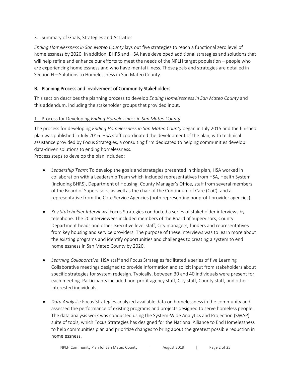## 3. Summary of Goals, Strategies and Activities

*Ending Homelessness in San Mateo County* lays out five strategies to reach a functional zero level of homelessness by 2020. In addition, BHRS and HSA have developed additional strategies and solutions that will help refine and enhance our efforts to meet the needs of the NPLH target population – people who are experiencing homelessness and who have mental illness. These goals and strategies are detailed in Section H – Solutions to Homelessness in San Mateo County.

## <span id="page-3-0"></span>B. Planning Process and Involvement of Community Stakeholders

This section describes the planning process to develop *Ending Homelessness in San Mateo County* and this addendum, including the stakeholder groups that provided input.

## 1. Process for Developing *Ending Homelessness in San Mateo County*

The process for developing *Ending Homelessness in San Mateo County* began in July 2015 and the finished plan was published in July 2016. HSA staff coordinated the development of the plan, with technical assistance provided by Focus Strategies, a consulting firm dedicated to helping communities develop data-driven solutions to ending homelessness.

Process steps to develop the plan included:

- *Leadership Team*: To develop the goals and strategies presented in this plan, HSA worked in collaboration with a Leadership Team which included representatives from HSA, Health System (including BHRS), Department of Housing, County Manager's Office, staff from several members of the Board of Supervisors, as well as the chair of the Continuum of Care (CoC), and a representative from the Core Service Agencies (both representing nonprofit provider agencies).
- *Key Stakeholder Interviews*. Focus Strategies conducted a series of stakeholder interviews by telephone. The 20 interviewees included members of the Board of Supervisors, County Department heads and other executive level staff, City managers, funders and representatives from key housing and service providers. The purpose of these interviews was to learn more about the existing programs and identify opportunities and challenges to creating a system to end homelessness in San Mateo County by 2020.
- *Learning Collaborative*: HSA staff and Focus Strategies facilitated a series of five Learning Collaborative meetings designed to provide information and solicit input from stakeholders about specific strategies for system redesign. Typically, between 30 and 40 individuals were present for each meeting. Participants included non-profit agency staff, City staff, County staff, and other interested individuals.
- *Data Analysis:* Focus Strategies analyzed available data on homelessness in the community and assessed the performance of existing programs and projects designed to serve homeless people. The data analysis work was conducted using the System-Wide Analytics and Projection (SWAP) suite of tools, which Focus Strategies has designed for the National Alliance to End Homelessness to help communities plan and prioritize changes to bring about the greatest possible reduction in homelessness.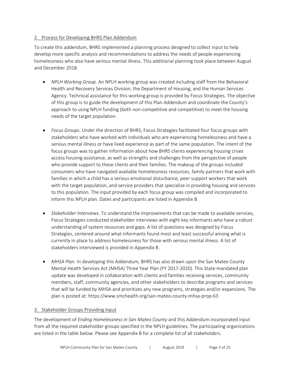## 2. Process for Developing BHRS Plan Addendum

To create this addendum, BHRS implemented a planning process designed to collect input to help develop more specific analysis and recommendations to address the needs of people experiencing homelessness who also have serious mental illness. This additional planning took place between August and December 2018.

- *NPLH Working Group*. An NPLH working group was created including staff from the Behavioral Health and Recovery Services Division, the Department of Housing, and the Human Services Agency. Technical assistance for this working group is provided by Focus Strategies. The objective of this group is to guide the development of this Plan Addendum and coordinate the County's approach to using NPLH funding (both non-competitive and competitive) to meet the housing needs of the target population.
- *Focus Groups*. Under the direction of BHRS, Focus Strategies facilitated four focus groups with stakeholders who have worked with individuals who are experiencing homelessness and have a serious mental illness or have lived experience as part of the same population. The intent of the focus groups was to gather information about how BHRS clients experiencing housing crises access housing assistance, as well as strengths and challenges from the perspective of people who provide support to these clients and their families. The makeup of the groups included consumers who have navigated available homelessness resources, family partners that work with families in which a child has a serious emotional disturbance, peer support workers that work with the target population, and service providers that specialize in providing housing and services to this population. The input provided by each focus group was compiled and incorporated to inform this NPLH plan. Dates and participants are listed in Appendix B.
- *Stakeholder Interviews*. To understand the improvements that can be made to available services, Focus Strategies conducted stakeholder interviews with eight key informants who have a robust understanding of system resources and gaps. A list of questions was designed by Focus Strategies, centered around what informants found most and least successful among what is currently in place to address homelessness for those with serious mental illness. A list of stakeholders interviewed is provided in Appendix B.
- *MHSA Plan*. In developing this Addendum, BHRS has also drawn upon the San Mateo County Mental Health Services Act (MHSA) Three Year Plan (FY 2017-2020). This State-mandated plan update was developed in collaboration with clients and families receiving services, community members, staff, community agencies, and other stakeholders to describe programs and services that will be funded by MHSA and prioritizes any new programs, strategies and/or expansions. The plan is posted at: https://www.smchealth.org/san-mateo-county-mhsa-prop-63

#### 3. Stakeholder Groups Providing Input

The development of *Ending Homelessness in San Mateo County* and this Addendum incorporated input from all the required stakeholder groups specified in the NPLH guidelines. The participating organizations are listed in the table below. Please see Appendix B for a complete list of all stakeholders.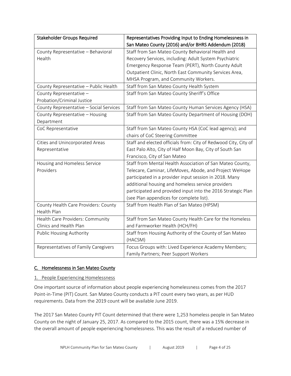| <b>Stakeholder Groups Required</b>      | Representatives Providing Input to Ending Homelessness in       |  |
|-----------------------------------------|-----------------------------------------------------------------|--|
|                                         | San Mateo County (2016) and/or BHRS Addendum (2018)             |  |
| County Representative - Behavioral      | Staff from San Mateo County Behavioral Health and               |  |
| Health                                  | Recovery Services, including: Adult System Psychiatric          |  |
|                                         | Emergency Response Team (PERT), North County Adult              |  |
|                                         | Outpatient Clinic, North East Community Services Area,          |  |
|                                         | MHSA Program, and Community Workers.                            |  |
| County Representative - Public Health   | Staff from San Mateo County Health System                       |  |
| County Representative -                 | Staff from San Mateo County Sheriff's Office                    |  |
| Probation/Criminal Justice              |                                                                 |  |
| County Representative - Social Services | Staff from San Mateo County Human Services Agency (HSA)         |  |
| County Representative - Housing         | Staff from San Mateo County Department of Housing (DOH)         |  |
| Department                              |                                                                 |  |
| CoC Representative                      | Staff from San Mateo County HSA (CoC lead agency); and          |  |
|                                         | chairs of CoC Steering Committee                                |  |
| Cities and Unincorporated Areas         | Staff and elected officials from: City of Redwood City, City of |  |
| Representative                          | East Palo Alto, City of Half Moon Bay, City of South San        |  |
|                                         | Francisco, City of San Mateo                                    |  |
| Housing and Homeless Service            | Staff from Mental Health Association of San Mateo County,       |  |
| Providers                               | Telecare, Caminar, LifeMoves, Abode, and Project WeHope         |  |
|                                         | participated in a provider input session in 2018. Many          |  |
|                                         | additional housing and homeless service providers               |  |
|                                         | participated and provided input into the 2016 Strategic Plan    |  |
|                                         | (see Plan appendices for complete list).                        |  |
| County Health Care Providers: County    | Staff from Health Plan of San Mateo (HPSM)                      |  |
| Health Plan                             |                                                                 |  |
| Health Care Providers: Community        | Staff from San Mateo County Health Care for the Homeless        |  |
| Clinics and Health Plan                 | and Farmworker Health (HCH/FH)                                  |  |
| <b>Public Housing Authority</b>         | Staff from Housing Authority of the County of San Mateo         |  |
|                                         | (HACSM)                                                         |  |
| Representatives of Family Caregivers    | Focus Groups with: Lived Experience Academy Members;            |  |
|                                         | Family Partners; Peer Support Workers                           |  |

# <span id="page-5-0"></span>C. Homelessness in San Mateo County

## 1. People Experiencing Homelessness

One important source of information about people experiencing homelessness comes from the 2017 Point-in-Time (PIT) Count. San Mateo County conducts a PIT count every two years, as per HUD requirements. Data from the 2019 count will be available June 2019.

The 2017 San Mateo County PIT Count determined that there were 1,253 homeless people in San Mateo County on the night of January 25, 2017. As compared to the 2015 count, there was a 15% decrease in the overall amount of people experiencing homelessness. This was the result of a reduced number of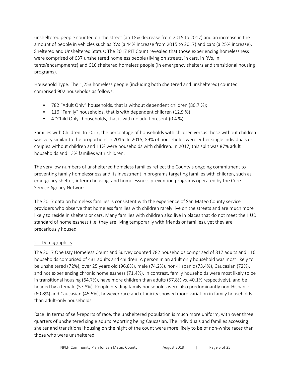unsheltered people counted on the street (an 18% decrease from 2015 to 2017) and an increase in the amount of people in vehicles such as RVs (a 44% increase from 2015 to 2017) and cars (a 25% increase). Sheltered and Unsheltered Status: The 2017 PIT Count revealed that those experiencing homelessness were comprised of 637 unsheltered homeless people (living on streets, in cars, in RVs, in tents/encampments) and 616 sheltered homeless people (in emergency shelters and transitional housing programs).

Household Type: The 1,253 homeless people (including both sheltered and unsheltered) counted comprised 902 households as follows:

- 782 "Adult Only" households, that is without dependent children (86.7 %);
- 116 "Family" households, that is with dependent children (12.9 %);
- 4 "Child Only" households, that is with no adult present (0.4 %).

Families with Children: In 2017, the percentage of households with children versus those without children was very similar to the proportions in 2015. In 2015, 89% of households were either single individuals or couples without children and 11% were households with children. In 2017, this split was 87% adult households and 13% families with children.

The very low numbers of unsheltered homeless families reflect the County's ongoing commitment to preventing family homelessness and its investment in programs targeting families with children, such as emergency shelter, interim housing, and homelessness prevention programs operated by the Core Service Agency Network.

The 2017 data on homeless families is consistent with the experience of San Mateo County service providers who observe that homeless families with children rarely live on the streets and are much more likely to reside in shelters or cars. Many families with children also live in places that do not meet the HUD standard of homelessness (i.e. they are living temporarily with friends or families), yet they are precariously housed.

## 2. Demographics

The 2017 One Day Homeless Count and Survey counted 782 households comprised of 817 adults and 116 households comprised of 431 adults and children. A person in an adult only household was most likely to be unsheltered (72%), over 25 years old (96.8%), male (74.2%), non-Hispanic (73.4%), Caucasian (72%), and not experiencing chronic homelessness (71.4%). In contrast, family households were most likely to be in transitional housing (64.7%), have more children than adults (57.8% vs. 40.1% respectively), and be headed by a female (57.8%). People heading family households were also predominantly non-Hispanic (60.8%) and Caucasian (45.5%), however race and ethnicity showed more variation in family households than adult-only households.

Race: In terms of self-reports of race, the unsheltered population is much more uniform, with over three quarters of unsheltered single adults reporting being Caucasian. The individuals and families accessing shelter and transitional housing on the night of the count were more likely to be of non-white races than those who were unsheltered.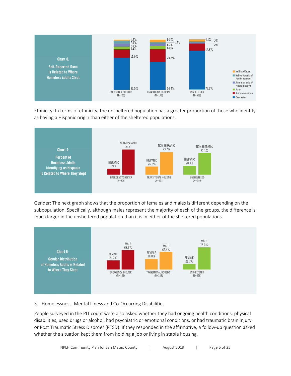

Ethnicity: In terms of ethnicity, the unsheltered population has a greater proportion of those who identify as having a Hispanic origin than either of the sheltered populations.



Gender: The next graph shows that the proportion of females and males is different depending on the subpopulation. Specifically, although males represent the majority of each of the groups, the difference is much larger in the unsheltered population than it is in either of the sheltered populations.



## 3. Homelessness, Mental Illness and Co-Occurring Disabilities

People surveyed in the PIT count were also asked whether they had ongoing health conditions, physical disabilities, used drugs or alcohol, had psychiatric or emotional conditions, or had traumatic brain injury or Post Traumatic Stress Disorder (PTSD). If they responded in the affirmative, a follow-up question asked whether the situation kept them from holding a job or living in stable housing.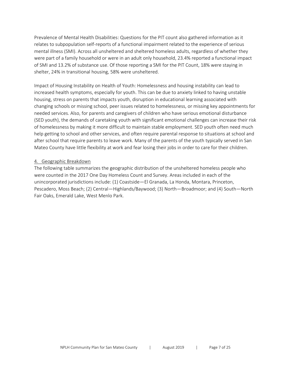Prevalence of Mental Health Disabilities: Questions for the PIT count also gathered information as it relates to subpopulation self-reports of a functional impairment related to the experience of serious mental illness (SMI). Across all unsheltered and sheltered homeless adults, regardless of whether they were part of a family household or were in an adult only household, 23.4% reported a functional impact of SMI and 13.2% of substance use. Of those reporting a SMI for the PIT Count, 18% were staying in shelter, 24% in transitional housing, 58% were unsheltered.

Impact of Housing Instability on Health of Youth: Homelessness and housing instability can lead to increased health symptoms, especially for youth. This can be due to anxiety linked to having unstable housing, stress on parents that impacts youth, disruption in educational learning associated with changing schools or missing school, peer issues related to homelessness, or missing key appointments for needed services. Also, for parents and caregivers of children who have serious emotional disturbance (SED youth), the demands of caretaking youth with significant emotional challenges can increase their risk of homelessness by making it more difficult to maintain stable employment. SED youth often need much help getting to school and other services, and often require parental response to situations at school and after school that require parents to leave work. Many of the parents of the youth typically served in San Mateo County have little flexibility at work and fear losing their jobs in order to care for their children.

#### 4. Geographic Breakdown

The following table summarizes the geographic distribution of the unsheltered homeless people who were counted in the 2017 One Day Homeless Count and Survey. Areas included in each of the unincorporated jurisdictions include: (1) Coastside—El Granada, La Honda, Montara, Princeton, Pescadero, Moss Beach; (2) Central—Highlands/Baywood; (3) North—Broadmoor; and (4) South—North Fair Oaks, Emerald Lake, West Menlo Park.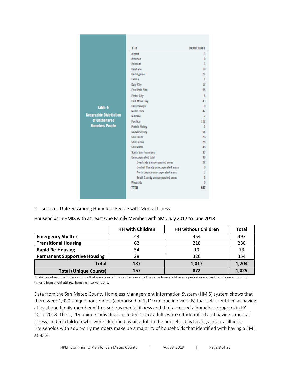|                                | <b>CITY</b>                         | UNSHELTERED    |
|--------------------------------|-------------------------------------|----------------|
|                                | <b>Airport</b>                      | 3              |
|                                | <b>Atherton</b>                     | $\bf{0}$       |
|                                | <b>Relmont</b>                      | 3              |
|                                | <b>Brishane</b>                     | 19             |
|                                | <b>Burlingame</b>                   | 21             |
|                                | Colma                               | 1              |
|                                | <b>Daly City</b>                    | 17             |
|                                | <b>East Palo Alto</b>               | 98             |
|                                | <b>Foster City</b>                  | 6              |
|                                | <b>Half Moon Bay</b>                | 43             |
| Table 4:                       | Hillsborough                        | 0              |
|                                | <b>Menlo Park</b>                   | 47             |
| <b>Geographic Distribution</b> | <b>Millbrae</b>                     | $\overline{1}$ |
| of Unsheltered                 | Pacifica                            | 112            |
| <b>Homeless People</b>         | <b>Portola Valley</b>               | $\mathbf{1}$   |
|                                | <b>Redwood City</b>                 | 94             |
|                                | San Bruno                           | 26             |
|                                | <b>San Carlos</b>                   | 28             |
|                                | San Mateo                           | 48             |
|                                | South San Francisco                 | 33             |
|                                | Unincorporated total                | 30             |
|                                | Coastside unincorporated areas      | 22             |
|                                | Central County unincorporated areas | 0              |
|                                | North County unincorporated areas   | 3              |
|                                | South County unincorporated areas   | 5              |
|                                | Woodside                            | 0              |
|                                | <b>TOTAL</b>                        | 637            |
|                                |                                     |                |

5. Services Utilized Among Homeless People with Mental Illness

#### Households in HMIS with at Least One Family Member with SMI: July 2017 to June 2018

|                                           | <b>HH with Children</b> | <b>HH without Children</b> | Total |
|-------------------------------------------|-------------------------|----------------------------|-------|
| <b>Emergency Shelter</b>                  | 43                      | 454                        | 497   |
| <b>Transitional Housing</b><br>218<br>62  |                         |                            | 280   |
| <b>Rapid Re-Housing</b>                   | 54                      | 19                         | 73    |
| <b>Permanent Supportive Housing</b><br>28 |                         | 326                        | 354   |
| <b>Total</b>                              | 187                     | 1,017                      | 1,204 |
| <b>Total (Unique Counts)</b>              | 157                     | 872                        | 1,029 |

\*Total count includes interventions that are accessed more than once by the same household over a period as well as the unique amount of times a household utilized housing interventions.

Data from the San Mateo County Homeless Management Information System (HMIS) system shows that there were 1,029 unique households (comprised of 1,119 unique individuals) that self-identified as having at least one family member with a serious mental illness and that accessed a homeless program in FY 2017-2018. The 1,119 unique individuals included 1,057 adults who self-identified and having a mental illness, and 62 children who were identified by an adult in the household as having a mental illness. Households with adult-only members make up a majority of households that identified with having a SMI, at 85%.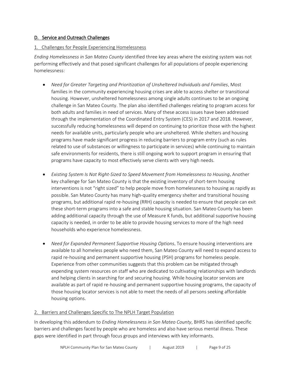## <span id="page-10-0"></span>D. Service and Outreach Challenges

## 1. Challenges for People Experiencing Homelessness

*Ending Homelessness in San Mateo County* identified three key areas where the existing system was not performing effectively and that posed significant challenges for all populations of people experiencing homelessness:

- *Need for Greater Targeting and Prioritization of Unsheltered Individuals and Families*. Most families in the community experiencing housing crises are able to access shelter or transitional housing. However, unsheltered homelessness among single adults continues to be an ongoing challenge in San Mateo County. The plan also identified challenges relating to program access for both adults and families in need of services. Many of these access issues have been addressed through the implementation of the Coordinated Entry System (CES) in 2017 and 2018. However, successfully reducing homelessness will depend on continuing to prioritize those with the highest needs for available units, particularly people who are unsheltered. While shelters and housing programs have made significant progress in reducing barriers to program entry (such as rules related to use of substances or willingness to participate in services) while continuing to maintain safe environments for residents, there is still ongoing work to support program in ensuring that programs have capacity to most effectively serve clients with very high needs.
- *Existing System Is Not Right-Sized to Speed Movement from Homelessness to Housing*. Another key challenge for San Mateo County is that the existing inventory of short-term housing interventions is not "right sized" to help people move from homelessness to housing as rapidly as possible. San Mateo County has many high-quality emergency shelter and transitional housing programs, but additional rapid re-housing (RRH) capacity is needed to ensure that people can exit these short-term programs into a safe and stable housing situation. San Mateo County has been adding additional capacity through the use of Measure K funds, but additional supportive housing capacity is needed, in order to be able to provide housing services to more of the high need households who experience homelessness.
- *Need for Expanded Permanent Supportive Housing Options*. To ensure housing interventions are available to all homeless people who need them, San Mateo County will need to expand access to rapid re-housing and permanent supportive housing (PSH) programs for homeless people. Experience from other communities suggests that this problem can be mitigated through expending system resources on staff who are dedicated to cultivating relationships with landlords and helping clients in searching for and securing housing. While housing locator services are available as part of rapid re-housing and permanent supportive housing programs, the capacity of those housing locator services is not able to meet the needs of all persons seeking affordable housing options.

## 2. Barriers and Challenges Specific to The NPLH Target Population

In developing this addendum to *Ending Homelessness in San Mateo County*, BHRS has identified specific barriers and challenges faced by people who are homeless and also have serious mental illness. These gaps were identified in part through focus groups and interviews with key informants.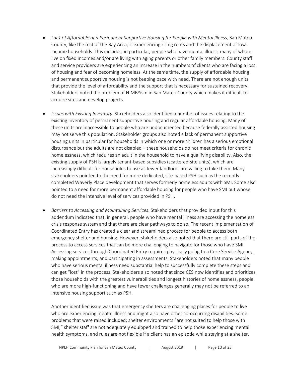- *Lack of Affordable and Permanent Supportive Housing for People with Mental Illness*. San Mateo County, like the rest of the Bay Area, is experiencing rising rents and the displacement of lowincome households. This includes, in particular, people who have mental illness, many of whom live on fixed incomes and/or are living with aging parents or other family members. County staff and service providers are experiencing an increase in the numbers of clients who are facing a loss of housing and fear of becoming homeless. At the same time, the supply of affordable housing and permanent supportive housing is not keeping pace with need. There are not enough units that provide the level of affordability and the support that is necessary for sustained recovery. Stakeholders noted the problem of NIMBYism in San Mateo County which makes it difficult to acquire sites and develop projects.
- *Issues with Existing Inventory*. Stakeholders also identified a number of issues relating to the existing inventory of permanent supportive housing and regular affordable housing. Many of these units are inaccessible to people who are undocumented because federally assisted housing may not serve this population. Stakeholder groups also noted a lack of permanent supportive housing units in particular for households in which one or more children has a serious emotional disturbance but the adults are not disabled – these households do not meet criteria for chronic homelessness, which requires an adult in the household to have a qualifying disability. Also, the existing supply of PSH is largely tenant-based subsidies (scattered-site units), which are increasingly difficult for households to use as fewer landlords are willing to take them. Many stakeholders pointed to the need for more dedicated, site-based PSH such as the recently completed Waverly Place development that serves formerly homeless adults with SMI. Some also pointed to a need for more permanent affordable housing for people who have SMI but whose do not need the intensive level of services provided in PSH.
- *Barriers to Accessing and Maintaining Services*. Stakeholders that provided input for this addendum indicated that, in general, people who have mental illness are accessing the homeless crisis response system and that there are clear pathways to do so. The recent implementation of Coordinated Entry has created a clear and streamlined process for people to access both emergency shelter and housing. However, stakeholders also noted that there are still parts of the process to access services that can be more challenging to navigate for those who have SMI. Accessing services through Coordinated Entry requires physically going to a Core Service Agency, making appointments, and participating in assessments. Stakeholders noted that many people who have serious mental illness need substantial help to successfully complete these steps and can get "lost" in the process. Stakeholders also noted that since CES now identifies and prioritizes those households with the greatest vulnerabilities and longest histories of homelessness, people who are more high-functioning and have fewer challenges generally may not be referred to an intensive housing support such as PSH.

Another identified issue was that emergency shelters are challenging places for people to live who are experiencing mental illness and might also have other co-occurring disabilities. Some problems that were raised included: shelter environments "are not suited to help those with SMI," shelter staff are not adequately equipped and trained to help those experiencing mental health symptoms, and rules are not flexible if a client has an episode while staying at a shelter.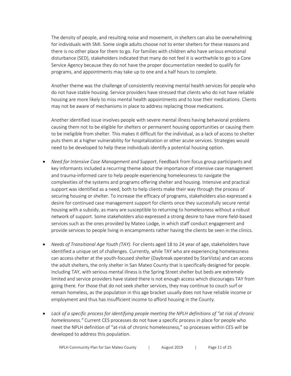The density of people, and resulting noise and movement, in shelters can also be overwhelming for individuals with SMI. Some single adults choose not to enter shelters for these reasons and there is no other place for them to go. For families with children who have serious emotional disturbance (SED), stakeholders indicated that many do not feel it is worthwhile to go to a Core Service Agency because they do not have the proper documentation needed to qualify for programs, and appointments may take up to one and a half hours to complete.

Another theme was the challenge of consistently receiving mental health services for people who do not have stable housing. Service providers have stressed that clients who do not have reliable housing are more likely to miss mental health appointments and to lose their medications. Clients may not be aware of mechanisms in place to address replacing those medications.

Another identified issue involves people with severe mental illness having behavioral problems causing them not to be eligible for shelters or permanent housing opportunities or causing them to be ineligible from shelter. This makes it difficult for the individual, as a lack of access to shelter puts them at a higher vulnerability for hospitalization or other acute services. Strategies would need to be developed to help these individuals identify a potential housing option.

- *Need for Intensive Case Management and Support*. Feedback from focus group participants and key informants included a recurring theme about the importance of intensive case management and trauma-informed care to help people experiencing homelessness to navigate the complexities of the systems and programs offering shelter and housing. Intensive and practical support was identified as a need, both to help clients make their way through the process of securing housing or shelter. To increase the efficacy of programs, stakeholders also expressed a desire for continued case management support for clients once they successfully secure rental housing with a subsidy, as many are susceptible to returning to homelessness without a robust network of support. Some stakeholders also expressed a strong desire to have more field-based services such as the ones provided by Mateo Lodge, in which staff conduct engagement and provide services to people living in encampments rather having the clients be seen in the clinics.
- *Needs of Transitional Age Youth (TAY).* For clients aged 18 to 24 year of age, stakeholders have identified a unique set of challenges. Currently, while TAY who are experiencing homelessness can access shelter at the youth-focused shelter (Daybreak operated by StarVista) and can access the adult shelters, the only shelter in San Mateo County that is specifically designed for people. Including TAY, with serious mental illness is the Spring Street shelter but beds are extremely limited and service providers have stated there is not enough access which discourages TAY from going there. For those that do not seek shelter services, they may continue to couch surf or remain homeless, as the population in this age bracket usually does not have reliable income or employment and thus has insufficient income to afford housing in the County.
- *Lack of a specific process for identifying people meeting the NPLH definitions of "at risk of chronic homelessness."* Current CES processes do not have a specific process in place for people who meet the NPLH definition of "at-risk of chronic homelessness," so processes within CES will be developed to address this population.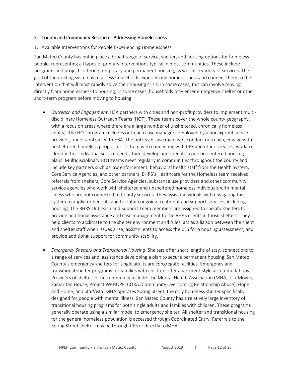#### <span id="page-13-0"></span>E. County and Community Resources Addressing Homelessness

#### 1. Available Interventions for People Experiencing Homelessness

San Mateo County has put in place a broad range of service, shelter, and housing options for homeless people, representing all types of primary interventions typical in most communities. These include programs and projects offering temporary and permanent housing, as well as a variety of services. The goal of the existing system is to assess households experiencing homelessness and connect them to the intervention that will most rapidly solve their housing crisis. In some cases, this can involve moving directly from homelessness to housing; in some cases, households may enter emergency shelter or other short-term program before moving to housing.

- *Outreach and Engagement*. HSA partners with cities and non-profit providers to implement multidisciplinary Homeless Outreach Teams (HOT). These teams cover the whole county geography, with a focus on areas where there are a large number of unsheltered, chronically homeless adults). The HOT program includes outreach case managers employed by a non-=profit service provider, under contract with HSA. The outreach case managers conduct outreach, engage with unsheltered homeless people, assist them with connecting with CES and other services, work to identify their individual service needs, then develop and execute a person-centered housing plans. Multidisciplinary HOT teams meet regularly in communities throughout the county and include key partners such as law enforcement, behavioral health staff from the Health System, Core Service Agencies, and other partners. BHRS's Healthcare for the Homeless team receives referrals from shelters, Core Service Agencies, substance use providers and other community service agencies who work with sheltered and unsheltered homeless individuals with mental illness who are not connected to County services. They assist individuals with navigating the system to apply for benefits and to obtain ongoing treatment and support services, including housing. The BHRS Outreach and Support Team members are assigned to specific shelters to provide additional assistance and case management to the BHRS clients in those shelters. They help clients to acclimate to the shelter environment and rules, act as a liaison between the client and shelter staff when issues arise, assist clients to access the CES for a housing assessment, and provide additional support for community stability.
- *Emergency Shelters and Transitional Housing*. Shelters offer short lengths of stay, connections to a range of services and, assistance developing a plan to secure permanent housing. San Mateo County's emergency shelters for single adults are congregate facilities. Emergency and transitional shelter programs for families with children offer apartment-style accommodations. Providers of shelter in the community include: the Mental Health Association (MHA), LifeMoves, Samaritan House, Project WeHOPE, CORA (Community Overcoming Relationship Abuse), Hope and Home, and StarVista. MHA operates Spring Street, the only homeless shelter specifically designed for people with mental illness. San Mateo County has a relatively large inventory of transitional housing programs for both single adults and families with children. These programs generally operate using a similar model to emergency shelter. All shelter and transitional housing for the general homeless population is accessed through Coordinated Entry. Referrals to the Spring Street shelter may be through CES or directly to MHA.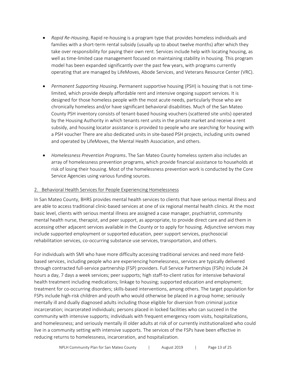- *Rapid Re-Housing*. Rapid re-housing is a program type that provides homeless individuals and families with a short-term rental subsidy (usually up to about twelve months) after which they take over responsibility for paying their own rent. Services include help with locating housing, as well as time-limited case management focused on maintaining stability in housing. This program model has been expanded significantly over the past few years, with programs currently operating that are managed by LifeMoves, Abode Services, and Veterans Resource Center (VRC).
- *Permanent Supporting Housing*. Permanent supportive housing (PSH) is housing that is not timelimited, which provide deeply affordable rent and intensive ongoing support services. It is designed for those homeless people with the most acute needs, particularly those who are chronically homeless and/or have significant behavioral disabilities. Much of the San Mateo County PSH inventory consists of tenant-based housing vouchers (scattered site units) operated by the Housing Authority in which tenants rent units in the private market and receive a rent subsidy, and housing locator assistance is provided to people who are searching for housing with a PSH voucher There are also dedicated units in site-based PSH projects, including units owned and operated by LifeMoves, the Mental Health Association, and others.
- *Homelessness Prevention Programs*. The San Mateo County homeless system also includes an array of homelessness prevention programs, which provide financial assistance to households at risk of losing their housing. Most of the homelessness prevention work is conducted by the Core Service Agencies using various funding sources.

## 2. Behavioral Health Services for People Experiencing Homelessness

In San Mateo County, BHRS provides mental health services to clients that have serious mental illness and are able to access traditional clinic-based services at one of six regional mental health clinics. At the most basic level, clients with serious mental illness are assigned a case manager, psychiatrist, community mental health nurse, therapist, and peer support, as appropriate, to provide direct care and aid them in accessing other adjacent services available in the County or to apply for housing. Adjunctive services may include supported employment or supported education, peer support services, psychosocial rehabilitation services, co-occurring substance use services, transportation, and others.

For individuals with SMI who have more difficulty accessing traditional services and need more fieldbased services, including people who are experiencing homelessness, services are typically delivered through contracted full-service partnership (FSP) providers. Full Service Partnerships (FSPs) include 24 hours a day, 7 days a week services; peer supports; high staff-to-client ratios for intensive behavioral health treatment including medications; linkage to housing; supported education and employment; treatment for co‐occurring disorders; skills-based interventions, among others. The target population for FSPs include high-risk children and youth who would otherwise be placed in a group home; seriously mentally ill and dually diagnosed adults including those eligible for diversion from criminal justice incarceration; incarcerated individuals; persons placed in locked facilities who can succeed in the community with intensive supports; individuals with frequent emergency room visits, hospitalizations, and homelessness; and seriously mentally ill older adults at risk of or currently institutionalized who could live in a community setting with intensive supports. The services of the FSPs have been effective in reducing returns to homelessness, incarceration, and hospitalization.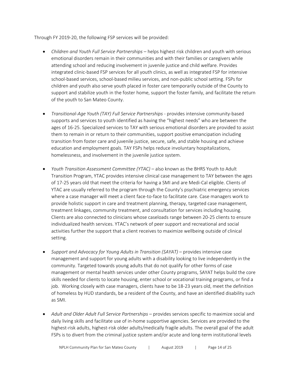Through FY 2019-20, the following FSP services will be provided:

- *Children and Youth Full Service Partnerships* helps highest risk children and youth with serious emotional disorders remain in their communities and with their families or caregivers while attending school and reducing involvement in juvenile justice and child welfare. Provides integrated clinic-based FSP services for all youth clinics, as well as integrated FSP for intensive school-based services, school-based milieu services, and non-public school setting. FSPs for children and youth also serve youth placed in foster care temporarily outside of the County to support and stabilize youth in the foster home, support the foster family, and facilitate the return of the youth to San Mateo County.
- *Transitional-Age Youth (TAY) Full Service Partnerships* provides intensive community-based supports and services to youth identified as having the "highest needs" who are between the ages of 16-25. Specialized services to TAY with serious emotional disorders are provided to assist them to remain in or return to their communities, support positive emancipation including transition from foster care and juvenile justice, secure, safe, and stable housing and achieve education and employment goals. TAY FSPs helps reduce involuntary hospitalizations, homelessness, and involvement in the juvenile justice system.
- *Youth Transition Assessment Committee (YTAC)*  also known as the BHRS Youth to Adult Transition Program, YTAC provides intensive clinical case management to TAY between the ages of 17-25 years old that meet the criteria for having a SMI and are Medi-Cal eligible. Clients of YTAC are usually referred to the program through the County's psychiatric emergency services where a case manager will meet a client face-to-face to facilitate care. Case managers work to provide holistic support in care and treatment planning, therapy, targeted case management, treatment linkages, community treatment, and consultation for services including housing. Clients are also connected to clinicians whose caseloads range between 20-25 clients to ensure individualized health services. YTAC's network of peer support and recreational and social activities further the support that a client receives to maximize wellbeing outside of clinical setting.
- *Support and Advocacy for Young Adults in Transition (SAYAT)* provides intensive case management and support for young adults with a disability looking to live independently in the community. Targeted towards young adults that do not qualify for other forms of case management or mental health services under other County programs, SAYAT helps build the core skills needed for clients to locate housing, enter school or vocational training programs, or find a job. Working closely with case managers, clients have to be 18-23 years old, meet the definition of homeless by HUD standards, be a resident of the County, and have an identified disability such as SMI.
- *Adult and Older Adult Full Service Partnerships* provides services specific to maximize social and daily living skills and facilitate use of in-home supportive agencies. Services are provided to the highest-risk adults, highest-risk older adults/medically fragile adults. The overall goal of the adult FSPs is to divert from the criminal justice system and/or acute and long-term institutional levels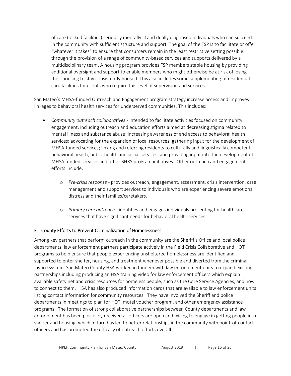of care (locked facilities) seriously mentally ill and dually diagnosed individuals who can succeed in the community with sufficient structure and support. The goal of the FSP is to facilitate or offer "whatever it takes" to ensure that consumers remain in the least restrictive setting possible through the provision of a range of community-based services and supports delivered by a multidisciplinary team. A housing program provides FSP members stable housing by providing additional oversight and support to enable members who might otherwise be at risk of losing their housing to stay consistently housed. This also includes some supplementing of residential care facilities for clients who require this level of supervision and services.

San Mateo's MHSA‐funded Outreach and Engagement program strategy increase access and improves linkages to behavioral health services for underserved communities. This includes:

- *Community outreach collaboratives -* intended to facilitate activities focused on community engagement, including outreach and education efforts aimed at decreasing stigma related to mental illness and substance abuse; increasing awareness of and access to behavioral health services; advocating for the expansion of local resources; gathering input for the development of MHSA-funded services; linking and referring residents to culturally and linguistically competent behavioral health, public health and social services; and providing input into the development of MHSA funded services and other BHRS program initiatives. Other outreach and engagement efforts include:
	- o *Pre-crisis response* provides outreach, engagement, assessment, crisis intervention, case management and support services to individuals who are experiencing severe emotional distress and their families/caretakers.
	- o *Primary care outreach* identifies and engages individuals presenting for healthcare services that have significant needs for behavioral health services.

## <span id="page-16-0"></span>F. County Efforts to Prevent Criminalization of Homelessness

Among key partners that perform outreach in the community are the Sheriff's Office and local police departments; law enforcement partners participate actively in the Field Crisis Collaborative and HOT programs to help ensure that people experiencing unsheltered homelessness are identified and supported to enter shelter, housing, and treatment whenever possible and diverted from the criminal justice system. San Mateo County HSA worked in tandem with law enforcement units to expand existing partnerships including producing an HSA training video for law enforcement officers which explain available safety net and crisis resources for homeless people, such as the Core Service Agencies, and how to connect to them. HSA has also produced information cards that are available to law enforcement units listing contact information for community resources. They have involved the Sheriff and police departments in meetings to plan for HOT, motel voucher program, and other emergency assistance programs. The formation of strong collaborative partnerships between County departments and law enforcement has been positively received as officers are open and willing to engage in getting people into shelter and housing, which in turn has led to better relationships in the community with point-of-contact officers and has promoted the efficacy of outreach efforts overall.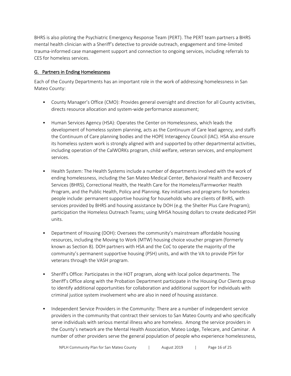BHRS is also piloting the Psychiatric Emergency Response Team (PERT). The PERT team partners a BHRS mental health clinician with a Sheriff's detective to provide outreach, engagement and time-limited trauma-informed case management support and connection to ongoing services, including referrals to CES for homeless services.

## <span id="page-17-0"></span>G. Partners in Ending Homelessness

Each of the County Departments has an important role in the work of addressing homelessness in San Mateo County:

- County Manager's Office (CMO): Provides general oversight and direction for all County activities, directs resource allocation and system-wide performance assessment;
- Human Services Agency (HSA): Operates the Center on Homelessness, which leads the development of homeless system planning, acts as the Continuum of Care lead agency, and staffs the Continuum of Care planning bodies and the HOPE Interagency Council (IAC). HSA also ensure its homeless system work is strongly aligned with and supported by other departmental activities, including operation of the CalWORKs program, child welfare, veteran services, and employment services.
- Health System: The Health Systems include a number of departments involved with the work of ending homelessness, including the San Mateo Medical Center, Behavioral Health and Recovery Services (BHRS), Correctional Health, the Health Care for the Homeless/Farmworker Health Program, and the Public Health, Policy and Planning. Key initiatives and programs for homeless people include: permanent supportive housing for households who are clients of BHRS, with services provided by BHRS and housing assistance by DOH (e.g. the Shelter Plus Care Program); participation the Homeless Outreach Teams; using MHSA housing dollars to create dedicated PSH units.
- Department of Housing (DOH): Oversees the community's mainstream affordable housing resources, including the Moving to Work (MTW) housing choice voucher program (formerly known as Section 8). DOH partners with HSA and the CoC to operate the majority of the community's permanent supportive housing (PSH) units, and with the VA to provide PSH for veterans through the VASH program.
- Sheriff's Office: Participates in the HOT program, along with local police departments. The Sheriff's Office along with the Probation Department participate in the Housing Our Clients group to identify additional opportunities for collaboration and additional support for individuals with criminal justice system involvement who are also in need of housing assistance.
- Independent Service Providers in the Community: There are a number of independent service providers in the community that contract their services to San Mateo County and who specifically serve individuals with serious mental illness who are homeless. Among the service providers in the County's network are the Mental Health Association, Mateo Lodge, Telecare, and Caminar. A number of other providers serve the general population of people who experience homelessness,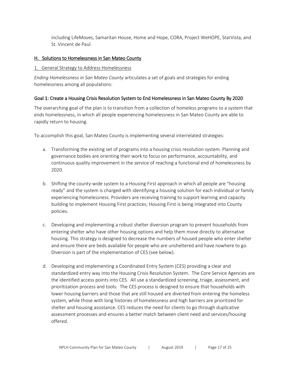including LifeMoves, Samaritan House, Home and Hope, CORA, Project WeHOPE, StarVista, and St. Vincent de Paul.

## <span id="page-18-0"></span>H. Solutions to Homelessness in San Mateo County

#### 1. General Strategy to Address Homelessness

*Ending Homelessness in San Mateo County* articulates a set of goals and strategies for ending homelessness among all populations:

## Goal 1: Create a Housing Crisis Resolution System to End Homelessness in San Mateo County By 2020

The overarching goal of the plan is to transition from a collection of homeless programs to a system that ends homelessness, in which all people experiencing homelessness in San Mateo County are able to rapidly return to housing.

To accomplish this goal, San Mateo County is implementing several interrelated strategies:

- a. Transforming the existing set of programs into a housing crisis resolution system. Planning and governance bodies are orienting their work to focus on performance, accountability, and continuous quality improvement in the service of reaching a functional end of homelessness by 2020.
- b. Shifting the county-wide system to a Housing First approach in which all people are "housing ready" and the system is charged with identifying a housing solution for each individual or family experiencing homelessness. Providers are receiving training to support learning and capacity building to implement Housing First practices; Housing First is being integrated into County policies.
- c. Developing and implementing a robust shelter diversion program to prevent households from entering shelter who have other housing options and help them move directly to alternative housing. This strategy is designed to decrease the numbers of housed people who enter shelter and ensure there are beds available for people who are unsheltered and have nowhere to go. Diversion is part of the implementation of CES (see below).
- d. Developing and implementing a Coordinated Entry System (CES) providing a clear and standardized entry way into the Housing Crisis Resolution System. The Core Service Agencies are the identified access points into CES. All use a standardized screening, triage, assessment, and prioritization process and tools. The CES process is designed to ensure that households with lower housing barriers and those that are still housed are diverted from entering the homeless system, while those with long histories of homelessness and high barriers are prioritized for shelter and housing assistance. CES reduces the need for clients to go through duplicative assessment processes and ensures a better match between client need and services/housing offered.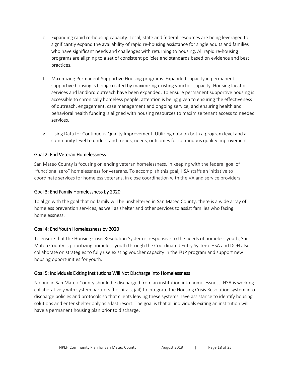- e. Expanding rapid re-housing capacity. Local, state and federal resources are being leveraged to significantly expand the availability of rapid re-housing assistance for single adults and families who have significant needs and challenges with returning to housing. All rapid re-housing programs are aligning to a set of consistent policies and standards based on evidence and best practices.
- f. Maximizing Permanent Supportive Housing programs. Expanded capacity in permanent supportive housing is being created by maximizing existing voucher capacity. Housing locator services and landlord outreach have been expanded. To ensure permanent supportive housing is accessible to chronically homeless people, attention is being given to ensuring the effectiveness of outreach, engagement, case management and ongoing service, and ensuring health and behavioral health funding is aligned with housing resources to maximize tenant access to needed services.
- g. Using Data for Continuous Quality Improvement. Utilizing data on both a program level and a community level to understand trends, needs, outcomes for continuous quality improvement.

## Goal 2: End Veteran Homelessness

San Mateo County is focusing on ending veteran homelessness, in keeping with the federal goal of "functional zero" homelessness for veterans. To accomplish this goal, HSA staffs an initiative to coordinate services for homeless veterans, in close coordination with the VA and service providers.

#### Goal 3: End Family Homelessness by 2020

To align with the goal that no family will be unsheltered in San Mateo County, there is a wide array of homeless prevention services, as well as shelter and other services to assist families who facing homelessness.

#### Goal 4: End Youth Homelessness by 2020

To ensure that the Housing Crisis Resolution System is responsive to the needs of homeless youth, San Mateo County is prioritizing homeless youth through the Coordinated Entry System. HSA and DOH also collaborate on strategies to fully use existing voucher capacity in the FUP program and support new housing opportunities for youth.

#### Goal 5: Individuals Exiting Institutions Will Not Discharge into Homelessness

No one in San Mateo County should be discharged from an institution into homelessness. HSA is working collaboratively with system partners (hospitals, jail) to integrate the Housing Crisis Resolution system into discharge policies and protocols so that clients leaving these systems have assistance to identify housing solutions and enter shelter only as a last resort. The goal is that all individuals exiting an institution will have a permanent housing plan prior to discharge.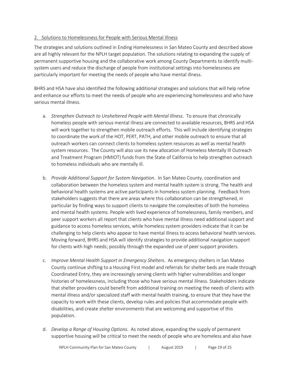## 2. Solutions to Homelessness for People with Serious Mental Illness

The strategies and solutions outlined in Ending Homelessness in San Mateo County and described above are all highly relevant for the NPLH target population. The solutions relating to expanding the supply of permanent supportive housing and the collaborative work among County Departments to identify multisystem users and reduce the discharge of people from institutional settings into homelessness are particularly important for meeting the needs of people who have mental illness.

BHRS and HSA have also identified the following additional strategies and solutions that will help refine and enhance our efforts to meet the needs of people who are experiencing homelessness and who have serious mental illness.

- a. *Strengthen Outreach to Unsheltered People with Mental Illness*. To ensure that chronically homeless people with serious mental illness are connected to available resources, BHRS and HSA will work together to strengthen mobile outreach efforts. This will include identifying strategies to coordinate the work of the HOT, PERT, PATH, and other mobile outreach to ensure that all outreach workers can connect clients to homeless system resources as well as mental health system resources. The County will also use its new allocation of Homeless Mentally Ill Outreach and Treatment Program (HMIOT) funds from the State of California to help strengthen outreach to homeless individuals who are mentally ill.
- b. *Provide Additional Support for System Navigation*. In San Mateo County, coordination and collaboration between the homeless system and mental health system is strong. The health and behavioral health systems are active participants in homeless system planning. Feedback from stakeholders suggests that there are areas where this collaboration can be strengthened, in particular by finding ways to support clients to navigate the complexities of both the homeless and mental health systems. People with lived experience of homelessness, family members, and peer support workers all report that clients who have mental illness need additional support and guidance to access homeless services, while homeless system providers indicate that it can be challenging to help clients who appear to have mental illness to access behavioral health services. Moving forward, BHRS and HSA will identify strategies to provide additional navigation support for clients with high needs; possibly through the expanded use of peer support providers.
- c. *Improve Mental Health Support in Emergency Shelters*. As emergency shelters in San Mateo County continue shifting to a Housing First model and referrals for shelter beds are made through Coordinated Entry, they are increasingly serving clients with higher vulnerabilities and longer histories of homelessness, including those who have serious mental illness. Stakeholders indicate that shelter providers could benefit from additional training on meeting the needs of clients with mental illness and/or specialized staff with mental health training, to ensure that they have the capacity to work with these clients, develop rules and policies that accommodate people with disabilities, and create shelter environments that are welcoming and supportive of this population.
- d. *Develop a Range of Housing Options*. As noted above, expanding the supply of permanent supportive housing will be critical to meet the needs of people who are homeless and also have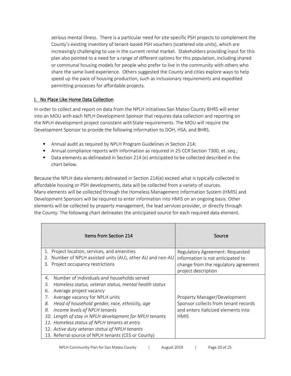serious mental illness. There is a particular need for site-specific PSH projects to complement the County's existing inventory of tenant-based PSH vouchers (scattered site units), which are increasingly challenging to use in the current rental market. Stakeholders providing input for this plan also pointed to a need for a range of different options for this population, including shared or communal housing models for people who prefer to live in the community with others who share the same lived experience. Others suggested the County and cities explore ways to help speed up the pace of housing production, such as inclusionary requirements and expedited permitting processes for affordable projects.

# <span id="page-21-0"></span>**I. No Place Like Home Data Collection**

In order to collect and report on data from the NPLH initiatives San Mateo County BHRS will enter into an MOU with each NPLH Development Sponsor that requires data collection and reporting on the NPLH development project consistent with State requirements. The MOU will require the Development Sponsor to provide the following information to DOH, HSA, and BHRS.

- Annual audit as required by NPLH Program Guidelines in Section 214;
- Annual compliance reports with information as required in 25 CCR Section 7300, et. seq.;
- Data elements as delineated in Section 214 (e) anticipated to be collected described in the chart below.

Because the NPLH data elements delineated in Section 214(e) exceed what is typically collected in affordable housing or PSH developments, data will be collected from a variety of sources. Many elements will be collected through the Homeless Management Information System (HMIS) and Development Sponsors will be required to enter information into HMIS on an ongoing basis. Other elements will be collected by property management, the lead services provider, or directly through the County. The following chart delineates the anticipated source for each required data element.

| Items from Section 214                                        | Source                                                      |
|---------------------------------------------------------------|-------------------------------------------------------------|
| 1. Project location, services, and amenities                  | Regulatory Agreement: Requested                             |
| Number of NPLH assisted units (AU), other AU and non-AU<br>2. | information is not anticipated to                           |
| Project occupancy restrictions<br>3.                          | change from the regulatory agreement<br>project description |
| Number of individuals and households served<br>$\mathbf{4}$ . |                                                             |
| Homeless status, veteran status, mental health status<br>5.   |                                                             |
| Average project vacancy<br>6.                                 |                                                             |
| Average vacancy for NPLH units<br>7.                          | Property Manager/Development                                |
| Head of household gender, race, ethnicity, age<br>8.          | Sponsor collects from tenant records                        |
| Income levels of NPLH tenants<br>9.                           | and enters italicized elements into                         |
| 10. Length of stay in NPLH development for NPLH tenants       | <b>HMIS</b>                                                 |
| 11. Homeless status of NPLH tenants at entry                  |                                                             |
| 12. Active duty veteran status of NPLH tenants                |                                                             |
| 13. Referral source of NPLH tenants (CES or County)           |                                                             |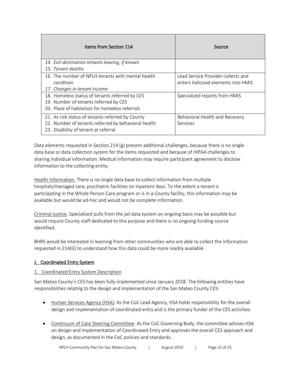| Items from Section 214                                                                                                                          | Source                                                                     |
|-------------------------------------------------------------------------------------------------------------------------------------------------|----------------------------------------------------------------------------|
| 14. Exit destination tenants leaving, if known<br>15. Tenant deaths                                                                             |                                                                            |
| 16. The number of NPLH tenants with mental health<br>condition<br>17. Changes in tenant income                                                  | Lead Service Provider collects and<br>enters italicized elements into HMIS |
| 18. Homeless status of tenants referred by CES<br>19. Number of tenants referred by CES<br>20. Place of habitation for homeless referrals       | Specialized reports from HMIS                                              |
| 21. At-risk status of tenants referred by County<br>22. Number of tenants referred by behavioral health<br>23. Disability of tenant at referral | Behavioral Health and Recovery<br>Services                                 |

Data elements requested in Section 214 (g) present additional challenges, because there is no single data base or data collection system for the items requested and because of HIPAA challenges to sharing individual information. Medical information may require participant agreement to disclose information to the collecting entity.

Health Information. There is no single data base to collect information from multiple hospitals/managed care, psychiatric facilities on inpatient days. To the extent a tenant is participating in the Whole Person Care program or is in a County facility, this information may be available but would be ad-hoc and would not be complete information.

Criminal Justice. Specialized pulls from the jail data system on ongoing basis may be possible but would require County staff dedicated to this purpose and there is no ongoing funding source identified.

BHRS would be interested in learning from other communities who are able to collect the information requested in 214(G) to understand how this data could be more readily available.

## <span id="page-22-0"></span>J. Coordinated Entry System

## 1. Coordinated Entry System Description

San Mateo County's CES has been fully implemented since January 2018. The following entities have responsibilities relating to the design and implementation of the San Mateo County CES:

- Human Services Agency (HSA): As the CoC Lead Agency, HSA holds responsibility for the overall design and implementation of coordinated entry and is the primary funder of the CES activities.
- Continuum of Care Steering Committee: As the CoC Governing Body, the committee advises HSA on design and implementation of Coordinated Entry and approves the overall CES approach and design, as documented in the CoC policies and standards.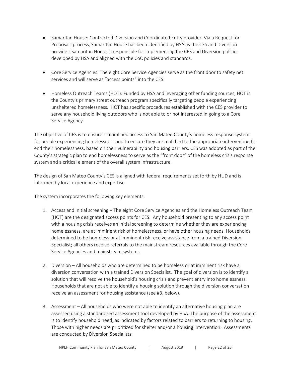- Samaritan House: Contracted Diversion and Coordinated Entry provider. Via a Request for Proposals process, Samaritan House has been identified by HSA as the CES and Diversion provider. Samaritan House is responsible for implementing the CES and Diversion policies developed by HSA and aligned with the CoC policies and standards.
- Core Service Agencies: The eight Core Service Agencies serve as the front door to safety net services and will serve as "access points" into the CES.
- Homeless Outreach Teams (HOT): Funded by HSA and leveraging other funding sources, HOT is the County's primary street outreach program specifically targeting people experiencing unsheltered homelessness. HOT has specific procedures established with the CES provider to serve any household living outdoors who is not able to or not interested in going to a Core Service Agency.

The objective of CES is to ensure streamlined access to San Mateo County's homeless response system for people experiencing homelessness and to ensure they are matched to the appropriate intervention to end their homelessness, based on their vulnerability and housing barriers. CES was adopted as part of the County's strategic plan to end homelessness to serve as the "front door" of the homeless crisis response system and a critical element of the overall system infrastructure.

The design of San Mateo County's CES is aligned with federal requirements set forth by HUD and is informed by local experience and expertise.

The system incorporates the following key elements:

- 1. Access and initial screening The eight Core Service Agencies and the Homeless Outreach Team (HOT) are the designated access points for CES. Any household presenting to any access point with a housing crisis receives an initial screening to determine whether they are experiencing homelessness, are at imminent risk of homelessness, or have other housing needs. Households determined to be homeless or at imminent risk receive assistance from a trained Diversion Specialist; all others receive referrals to the mainstream resources available through the Core Service Agencies and mainstream systems.
- 2. Diversion All households who are determined to be homeless or at imminent risk have a diversion conversation with a trained Diversion Specialist. The goal of diversion is to identify a solution that will resolve the household's housing crisis and prevent entry into homelessness. Households that are not able to identify a housing solution through the diversion conversation receive an assessment for housing assistance (see #3, below).
- 3. Assessment All households who were not able to identify an alternative housing plan are assessed using a standardized assessment tool developed by HSA. The purpose of the assessment is to identify household need, as indicated by factors related to barriers to returning to housing. Those with higher needs are prioritized for shelter and/or a housing intervention. Assessments are conducted by Diversion Specialists.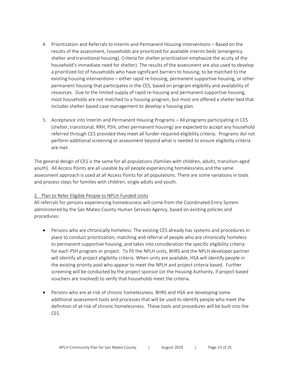- 4. Prioritization and Referrals to Interim and Permanent Housing Interventions Based on the results of the assessment, households are prioritized for available interim beds (emergency shelter and transitional housing). Criteria for shelter prioritization emphasize the acuity of the household's immediate need for shelter). The results of the assessment are also used to develop a prioritized list of households who have significant barriers to housing, to be matched to the existing housing interventions – either rapid re-housing, permanent supportive housing, or other permanent housing that participates in the CES, based on program eligibility and availability of resources. Due to the limited supply of rapid re-housing and permanent supportive housing, most households are not matched to a housing program, but most are offered a shelter bed that includes shelter-based case management to develop a housing plan.
- 5. Acceptance into Interim and Permanent Housing Programs All programs participating in CES (shelter, transitional, RRH, PSH, other permanent housing) are expected to accept any household referred through CES provided they meet all funder-required eligibility criteria. Programs dol not perform additional screening or assessment beyond what is needed to ensure eligibility criteria are met.

The general design of CES is the same for all populations (families with children, adults, transition-aged youth). All Access Points are all useable by all people experiencing homelessness and the same assessment approach is used at all Access Points for all populations. There are some variations in tools and process steps for families with children, single adults and youth.

#### 2. Plan to Refer Eligible People to NPLH-Funded Units

All referrals for persons experiencing homelessness will come from the Coordinated Entry System administered by the San Mateo County Human Services Agency, based on existing policies and procedures:

- Persons who are chronically homeless: The existing CES already has systems and procedures in place to conduct prioritization, matching and referral of people who are chronically homeless to permanent supportive housing, and takes into consideration the specific eligibility criteria for each PSH program or project. To fill the NPLH units, BHRS and the NPLH developer partner will identify all project eligibility criteria. When units are available, HSA will identify people in the existing priority pool who appear to meet the NPLH and project criteria based. Further screening will be conducted by the project sponsor (or the Housing Authority, if project-based vouchers are involved) to verify that households meet the criteria.
- Persons who are at-risk of chronic homelessness. BHRS and HSA are developing some additional assessment tools and processes that will be used to identify people who meet the definition of at-risk of chronic homelessness. These tools and procedures will be built into the CES.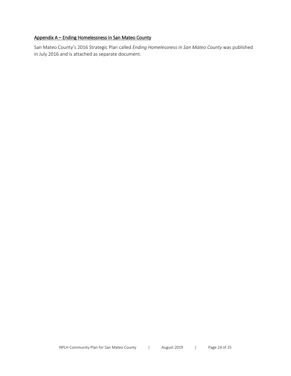# <span id="page-25-0"></span>Appendix A – Ending Homelessness in San Mateo County

San Mateo County's 2016 Strategic Plan called *Ending Homelessness in San Mateo County* was published in July 2016 and is attached as separate document.